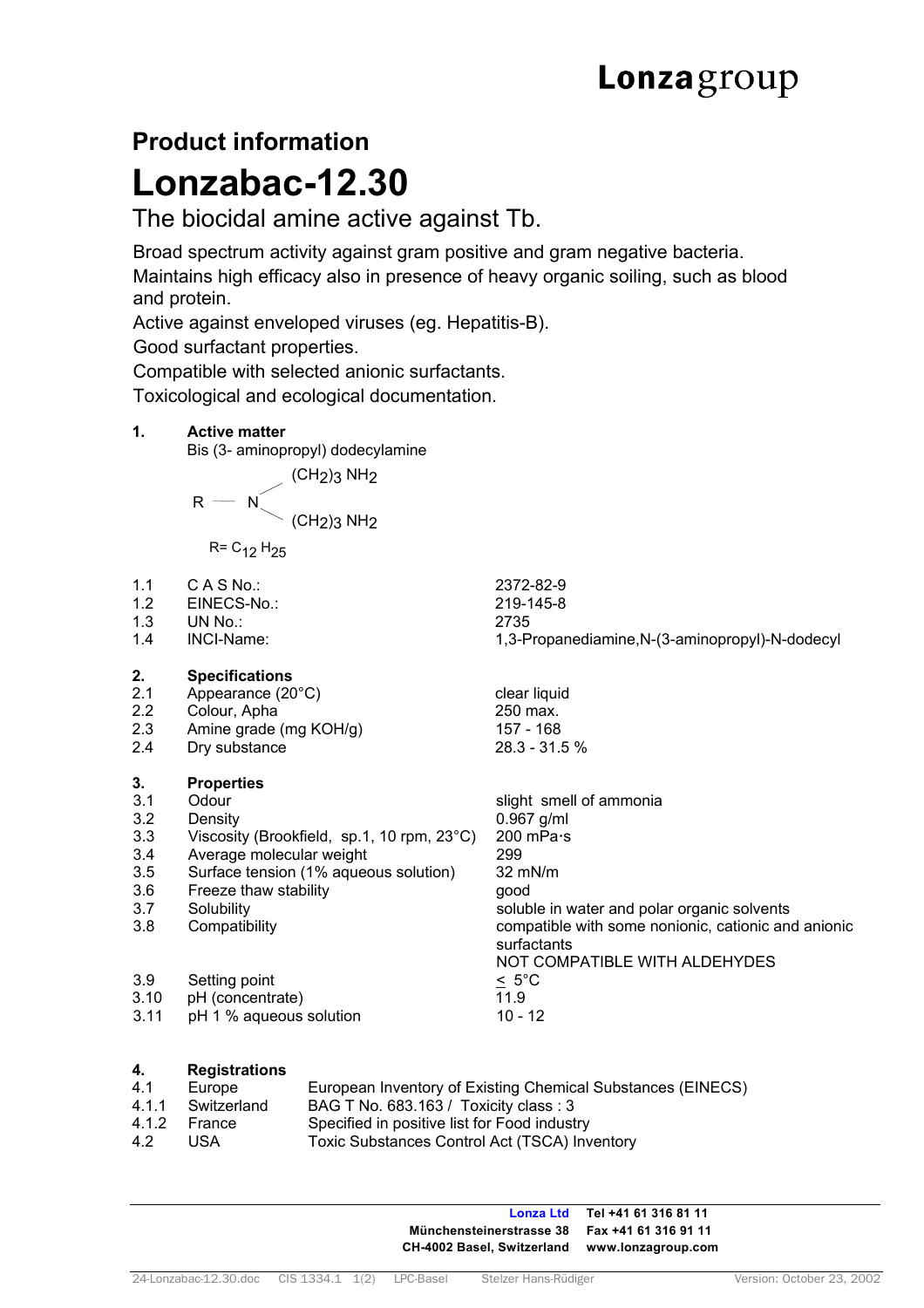# **Product information Lonzabac-12.30**

## The biocidal amine active against Tb.

 Broad spectrum activity against gram positive and gram negative bacteria. Maintains high efficacy also in presence of heavy organic soiling, such as blood and protein.

Active against enveloped viruses (eg. Hepatitis-B).

Good surfactant properties.

Compatible with selected anionic surfactants.

Toxicological and ecological documentation.

### **1. Active matter**

Bis (3- aminopropyl) dodecylamine

 $\sim$  (CH<sub>2</sub>)3 NH<sub>2</sub>

$$
\mathsf{R} = \mathsf{N}_{\diagdown}(\mathsf{CH}_2)_3\,\mathsf{NH}_2
$$

 $R = C_{12} H_{25}$ 

- 
- 1.2 EINECS-No.:
- 1.3 UN No.: 2735
- 

#### **2. Specifications**

- 2.1 Appearance (20°C) clear liquid
- 2.2 Colour, Apha 250 max.
- 2.3 Amine grade (mg KOH/g) 157 168
- 2.4 Dry substance 28.3 31.5 %

# **3.1 Properties**<br>**3.1** Odour

- **3.1 Odour Solution Studier School Studier School Studier School Studier School Studier School Studier School Studier School Studier School Studier School Studier School Studier School Studier School Studier School Studier**
- 3.2 Density 0.967 g/ml
- 3.3 Viscosity (Brookfield, sp.1, 10 rpm, 23°C) 200 mPa·s
- 3.4 Average molecular weight 299
- 3.5 Surface tension (1% aqueous solution) 32 mN/m
- 3.6 Freeze thaw stability good
- 
- 
- 3.9 Setting point  $\leq 5^{\circ}$ C<br>3.10 pH (concentrate)  $\leq 1.9$
- 3.10 pH (concentrate)
- 3.11 pH 1 % aqueous solution 10 12
- **4. Registrations**
- 4.1 Europe European Inventory of Existing Chemical Substances (EINECS)<br>4.1.1 Switzerland BAG T No. 683.163 / Toxicity class : 3
- 4.1.1 Switzerland BAG T No. 683.163 / Toxicity class : 3<br>4.1.2 France Specified in positive list for Food indust France Specified in positive list for Food industry
- 4.2 USA Toxic Substances Control Act (TSCA) Inventory

**Lonza Ltd Tel +41 61 316 81 11 Münchensteinerstrasse 38 Fax +41 61 316 91 11 CH-4002 Basel, Switzerland www.lonzagroup.com** 

1.4 INCI-Name: 1,3-Propanediamine,N-(3-aminopropyl)-N-dodecyl

3.7 Solubility Soluble in water and polar organic solvents 3.8 Compatibility compatible with some nonionic, cationic and anionic surfactants NOT COMPATIBLE WITH ALDEHYDES

# 1.1 C A S No.: 2372-82-9<br>1.2 EINECS-No.: 219-145-8